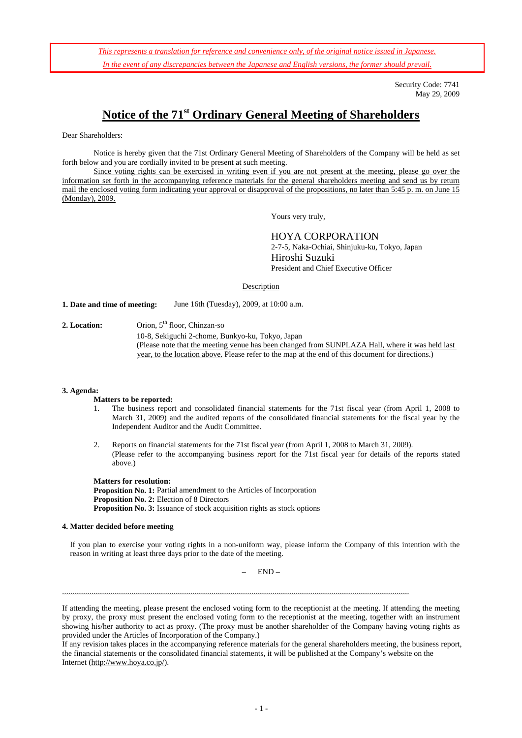*This represents a translation for reference and convenience only, of the original notice issued in Japanese. In the event of any discrepancies between the Japanese and English versions, the former should prevail.*

> Security Code: 7741 May 29, 2009

# **Notice of the 71st Ordinary General Meeting of Shareholders**

Dear Shareholders:

Notice is hereby given that the 71st Ordinary General Meeting of Shareholders of the Company will be held as set forth below and you are cordially invited to be present at such meeting.

Since voting rights can be exercised in writing even if you are not present at the meeting, please go over the information set forth in the accompanying reference materials for the general shareholders meeting and send us by return mail the enclosed voting form indicating your approval or disapproval of the propositions, no later than 5:45 p. m. on June 15 (Monday), 2009.

Yours very truly,

HOYA CORPORATION

2-7-5, Naka-Ochiai, Shinjuku-ku, Tokyo, Japan Hiroshi Suzuki President and Chief Executive Officer

Description

**1. Date and time of meeting:** June 16th (Tuesday), 2009, at 10:00 a.m.

2. Location: Orion, 5<sup>th</sup> floor, Chinzan-so

10-8, Sekiguchi 2-chome, Bunkyo-ku, Tokyo, Japan (Please note that the meeting venue has been changed from SUNPLAZA Hall, where it was held last year, to the location above. Please refer to the map at the end of this document for directions.)

#### **3. Agenda:**

### **Matters to be reported:**

- 1. The business report and consolidated financial statements for the 71st fiscal year (from April 1, 2008 to March 31, 2009) and the audited reports of the consolidated financial statements for the fiscal year by the Independent Auditor and the Audit Committee.
- 2. Reports on financial statements for the 71st fiscal year (from April 1, 2008 to March 31, 2009). (Please refer to the accompanying business report for the 71st fiscal year for details of the reports stated above.)

**Matters for resolution: Proposition No. 1:** Partial amendment to the Articles of Incorporation **Proposition No. 2:** Election of 8 Directors **Proposition No. 3:** Issuance of stock acquisition rights as stock options

#### **4. Matter decided before meeting**

If you plan to exercise your voting rights in a non-uniform way, please inform the Company of this intention with the reason in writing at least three days prior to the date of the meeting.

– END –

If attending the meeting, please present the enclosed voting form to the receptionist at the meeting. If attending the meeting by proxy, the proxy must present the enclosed voting form to the receptionist at the meeting, together with an instrument showing his/her authority to act as proxy. (The proxy must be another shareholder of the Company having voting rights as provided under the Articles of Incorporation of the Company.)

If any revision takes places in the accompanying reference materials for the general shareholders meeting, the business report, the financial statements or the consolidated financial statements, it will be published at the Company's website on the Internet (http://www.hoya.co.jp/).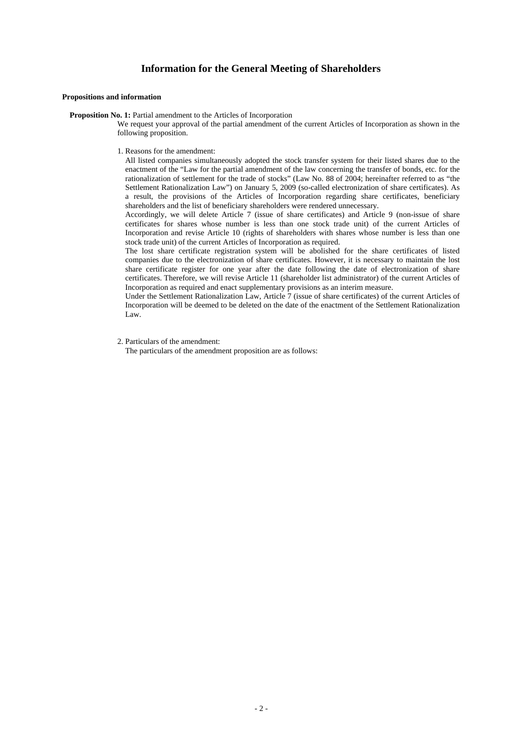### **Information for the General Meeting of Shareholders**

#### **Propositions and information**

**Proposition No. 1:** Partial amendment to the Articles of Incorporation

We request your approval of the partial amendment of the current Articles of Incorporation as shown in the following proposition.

1. Reasons for the amendment:

All listed companies simultaneously adopted the stock transfer system for their listed shares due to the enactment of the "Law for the partial amendment of the law concerning the transfer of bonds, etc. for the rationalization of settlement for the trade of stocks" (Law No. 88 of 2004; hereinafter referred to as "the Settlement Rationalization Law") on January 5, 2009 (so-called electronization of share certificates). As a result, the provisions of the Articles of Incorporation regarding share certificates, beneficiary shareholders and the list of beneficiary shareholders were rendered unnecessary.

Accordingly, we will delete Article 7 (issue of share certificates) and Article 9 (non-issue of share certificates for shares whose number is less than one stock trade unit) of the current Articles of Incorporation and revise Article 10 (rights of shareholders with shares whose number is less than one stock trade unit) of the current Articles of Incorporation as required.

The lost share certificate registration system will be abolished for the share certificates of listed companies due to the electronization of share certificates. However, it is necessary to maintain the lost share certificate register for one year after the date following the date of electronization of share certificates. Therefore, we will revise Article 11 (shareholder list administrator) of the current Articles of Incorporation as required and enact supplementary provisions as an interim measure.

Under the Settlement Rationalization Law, Article 7 (issue of share certificates) of the current Articles of Incorporation will be deemed to be deleted on the date of the enactment of the Settlement Rationalization Law.

2. Particulars of the amendment:

The particulars of the amendment proposition are as follows: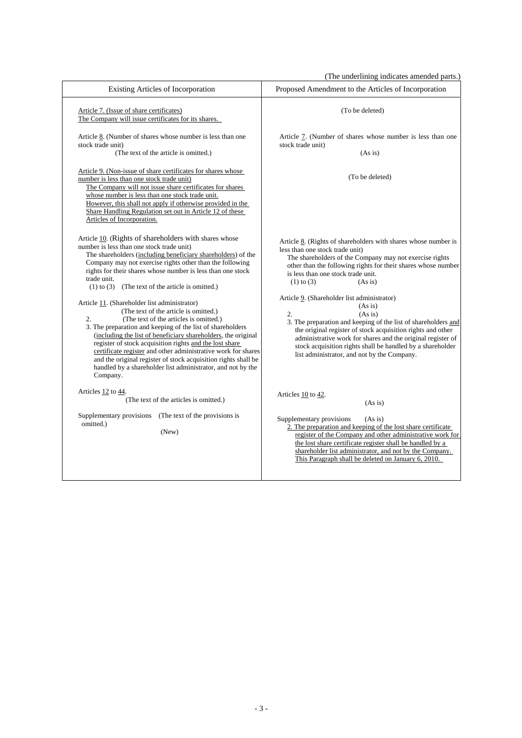(The underlining indicates amended parts.)

|                                                                                                                                                                                                                                                                                                                                                                                                                                                                                                                                                                                                                                                                                                                                                                                                                                               | (The underlining indicates amended parts.)                                                                                                                                                                                                                                                                                                                                                                                                                                                                                                                                                                                                                                               |
|-----------------------------------------------------------------------------------------------------------------------------------------------------------------------------------------------------------------------------------------------------------------------------------------------------------------------------------------------------------------------------------------------------------------------------------------------------------------------------------------------------------------------------------------------------------------------------------------------------------------------------------------------------------------------------------------------------------------------------------------------------------------------------------------------------------------------------------------------|------------------------------------------------------------------------------------------------------------------------------------------------------------------------------------------------------------------------------------------------------------------------------------------------------------------------------------------------------------------------------------------------------------------------------------------------------------------------------------------------------------------------------------------------------------------------------------------------------------------------------------------------------------------------------------------|
| Existing Articles of Incorporation                                                                                                                                                                                                                                                                                                                                                                                                                                                                                                                                                                                                                                                                                                                                                                                                            | Proposed Amendment to the Articles of Incorporation                                                                                                                                                                                                                                                                                                                                                                                                                                                                                                                                                                                                                                      |
| Article 7. (Issue of share certificates)<br>The Company will issue certificates for its shares.                                                                                                                                                                                                                                                                                                                                                                                                                                                                                                                                                                                                                                                                                                                                               | (To be deleted)                                                                                                                                                                                                                                                                                                                                                                                                                                                                                                                                                                                                                                                                          |
| Article 8. (Number of shares whose number is less than one<br>stock trade unit)<br>(The text of the article is omitted.)                                                                                                                                                                                                                                                                                                                                                                                                                                                                                                                                                                                                                                                                                                                      | Article 7. (Number of shares whose number is less than one<br>stock trade unit)<br>(As is)                                                                                                                                                                                                                                                                                                                                                                                                                                                                                                                                                                                               |
| Article 9. (Non-issue of share certificates for shares whose<br>number is less than one stock trade unit)<br>The Company will not issue share certificates for shares<br>whose number is less than one stock trade unit.<br>However, this shall not apply if otherwise provided in the<br>Share Handling Regulation set out in Article 12 of these<br>Articles of Incorporation.                                                                                                                                                                                                                                                                                                                                                                                                                                                              | (To be deleted)                                                                                                                                                                                                                                                                                                                                                                                                                                                                                                                                                                                                                                                                          |
| Article 10. (Rights of shareholders with shares whose<br>number is less than one stock trade unit)<br>The shareholders (including beneficiary shareholders) of the<br>Company may not exercise rights other than the following<br>rights for their shares whose number is less than one stock<br>trade unit.<br>$(1)$ to $(3)$<br>(The text of the article is omitted.)<br>Article 11. (Shareholder list administrator)<br>(The text of the article is omitted.)<br>2.<br>(The text of the articles is omitted.)<br>3. The preparation and keeping of the list of shareholders<br>(including the list of beneficiary shareholders, the original<br>register of stock acquisition rights and the lost share<br>certificate register and other administrative work for shares<br>and the original register of stock acquisition rights shall be | Article 8. (Rights of shareholders with shares whose number is<br>less than one stock trade unit)<br>The shareholders of the Company may not exercise rights<br>other than the following rights for their shares whose number<br>is less than one stock trade unit.<br>$(1)$ to $(3)$<br>(As is)<br>Article 9. (Shareholder list administrator)<br>(As is)<br>2.<br>(As is)<br>3. The preparation and keeping of the list of shareholders and<br>the original register of stock acquisition rights and other<br>administrative work for shares and the original register of<br>stock acquisition rights shall be handled by a shareholder<br>list administrator, and not by the Company. |
| handled by a shareholder list administrator, and not by the<br>Company.<br>Articles 12 to 44.<br>(The text of the articles is omitted.)<br>Supplementary provisions (The text of the provisions is<br>omitted.)<br>(New)                                                                                                                                                                                                                                                                                                                                                                                                                                                                                                                                                                                                                      | Articles 10 to 42.<br>(As is)<br>Supplementary provisions<br>(As is)<br>2. The preparation and keeping of the lost share certificate<br>register of the Company and other administrative work for<br>the lost share certificate register shall be handled by a<br>shareholder list administrator, and not by the Company.<br>This Paragraph shall be deleted on January 6, 2010.                                                                                                                                                                                                                                                                                                         |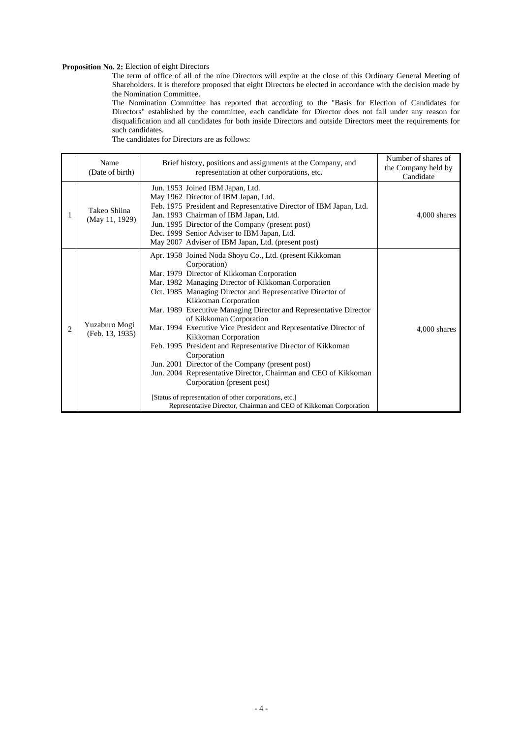### **Proposition No. 2:** Election of eight Directors

The term of office of all of the nine Directors will expire at the close of this Ordinary General Meeting of Shareholders. It is therefore proposed that eight Directors be elected in accordance with the decision made by the Nomination Committee.

The Nomination Committee has reported that according to the "Basis for Election of Candidates for Directors" established by the committee, each candidate for Director does not fall under any reason for disqualification and all candidates for both inside Directors and outside Directors meet the requirements for such candidates.

|   | Name<br>(Date of birth)          | Brief history, positions and assignments at the Company, and<br>representation at other corporations, etc.                                                                                                                                                                                                                                                                                                                                                                                                                                                                                                                                                                                                                                                                                                                        | Number of shares of<br>the Company held by<br>Candidate |
|---|----------------------------------|-----------------------------------------------------------------------------------------------------------------------------------------------------------------------------------------------------------------------------------------------------------------------------------------------------------------------------------------------------------------------------------------------------------------------------------------------------------------------------------------------------------------------------------------------------------------------------------------------------------------------------------------------------------------------------------------------------------------------------------------------------------------------------------------------------------------------------------|---------------------------------------------------------|
| 1 | Takeo Shiina<br>(May 11, 1929)   | Jun. 1953 Joined IBM Japan, Ltd.<br>May 1962 Director of IBM Japan, Ltd.<br>Feb. 1975 President and Representative Director of IBM Japan, Ltd.<br>Jan. 1993 Chairman of IBM Japan, Ltd.<br>Jun. 1995 Director of the Company (present post)<br>Dec. 1999 Senior Adviser to IBM Japan, Ltd.<br>May 2007 Adviser of IBM Japan, Ltd. (present post)                                                                                                                                                                                                                                                                                                                                                                                                                                                                                  | 4,000 shares                                            |
| 2 | Yuzaburo Mogi<br>(Feb. 13, 1935) | Apr. 1958 Joined Noda Shoyu Co., Ltd. (present Kikkoman<br>Corporation)<br>Mar. 1979 Director of Kikkoman Corporation<br>Mar. 1982 Managing Director of Kikkoman Corporation<br>Oct. 1985 Managing Director and Representative Director of<br>Kikkoman Corporation<br>Mar. 1989 Executive Managing Director and Representative Director<br>of Kikkoman Corporation<br>Mar. 1994 Executive Vice President and Representative Director of<br>Kikkoman Corporation<br>Feb. 1995 President and Representative Director of Kikkoman<br>Corporation<br>Jun. 2001 Director of the Company (present post)<br>Jun. 2004 Representative Director, Chairman and CEO of Kikkoman<br>Corporation (present post)<br>[Status of representation of other corporations, etc.]<br>Representative Director, Chairman and CEO of Kikkoman Corporation | 4,000 shares                                            |

The candidates for Directors are as follows: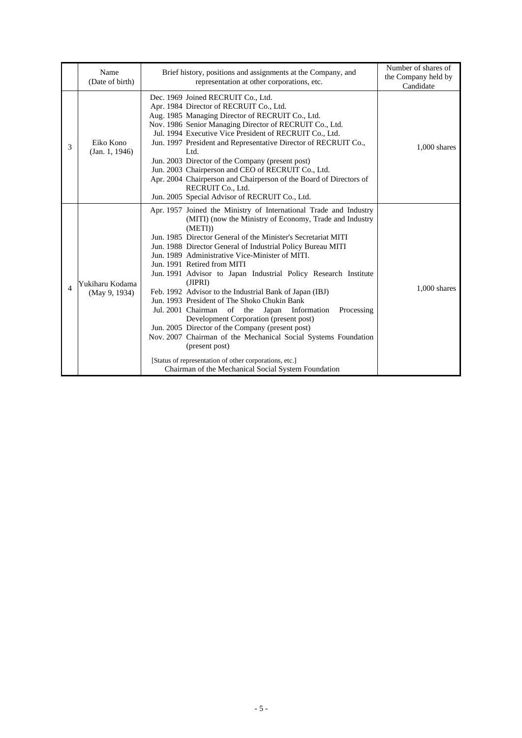|   | Name<br>(Date of birth)          | Brief history, positions and assignments at the Company, and<br>representation at other corporations, etc.                                                                                                                                                                                                                                                                                                                                                                                                                                                                                                                                                                                                                                                                                                                                                                                                              | Number of shares of<br>the Company held by<br>Candidate |
|---|----------------------------------|-------------------------------------------------------------------------------------------------------------------------------------------------------------------------------------------------------------------------------------------------------------------------------------------------------------------------------------------------------------------------------------------------------------------------------------------------------------------------------------------------------------------------------------------------------------------------------------------------------------------------------------------------------------------------------------------------------------------------------------------------------------------------------------------------------------------------------------------------------------------------------------------------------------------------|---------------------------------------------------------|
| 3 | Eiko Kono<br>(Jan. 1, 1946)      | Dec. 1969 Joined RECRUIT Co., Ltd.<br>Apr. 1984 Director of RECRUIT Co., Ltd.<br>Aug. 1985 Managing Director of RECRUIT Co., Ltd.<br>Nov. 1986 Senior Managing Director of RECRUIT Co., Ltd.<br>Jul. 1994 Executive Vice President of RECRUIT Co., Ltd.<br>Jun. 1997 President and Representative Director of RECRUIT Co.,<br>Ltd.<br>Jun. 2003 Director of the Company (present post)<br>Jun. 2003 Chairperson and CEO of RECRUIT Co., Ltd.<br>Apr. 2004 Chairperson and Chairperson of the Board of Directors of<br>RECRUIT Co., Ltd.<br>Jun. 2005 Special Advisor of RECRUIT Co., Ltd.                                                                                                                                                                                                                                                                                                                               | $1,000$ shares                                          |
| 4 | Yukiharu Kodama<br>(May 9, 1934) | Apr. 1957 Joined the Ministry of International Trade and Industry<br>(MITI) (now the Ministry of Economy, Trade and Industry<br>(METI)<br>Jun. 1985 Director General of the Minister's Secretariat MITI<br>Jun. 1988 Director General of Industrial Policy Bureau MITI<br>Jun. 1989 Administrative Vice-Minister of MITI.<br>Jun. 1991 Retired from MITI<br>Jun. 1991 Advisor to Japan Industrial Policy Research Institute<br>(JIPRI)<br>Feb. 1992 Advisor to the Industrial Bank of Japan (IBJ)<br>Jun. 1993 President of The Shoko Chukin Bank<br>Jul. 2001 Chairman<br>of the<br>Japan Information<br>Processing<br>Development Corporation (present post)<br>Jun. 2005 Director of the Company (present post)<br>Nov. 2007 Chairman of the Mechanical Social Systems Foundation<br>(present post)<br>[Status of representation of other corporations, etc.]<br>Chairman of the Mechanical Social System Foundation | $1,000$ shares                                          |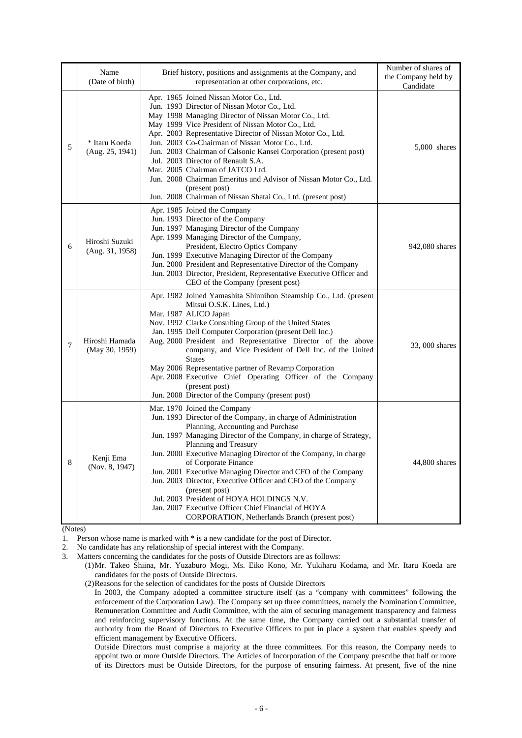|   | Name<br>(Date of birth)           | Brief history, positions and assignments at the Company, and<br>representation at other corporations, etc.                                                                                                                                                                                                                                                                                                                                                                                                                                                                                                                            | Number of shares of<br>the Company held by<br>Candidate |
|---|-----------------------------------|---------------------------------------------------------------------------------------------------------------------------------------------------------------------------------------------------------------------------------------------------------------------------------------------------------------------------------------------------------------------------------------------------------------------------------------------------------------------------------------------------------------------------------------------------------------------------------------------------------------------------------------|---------------------------------------------------------|
| 5 | * Itaru Koeda<br>(Aug. 25, 1941)  | Apr. 1965 Joined Nissan Motor Co., Ltd.<br>Jun. 1993 Director of Nissan Motor Co., Ltd.<br>May 1998 Managing Director of Nissan Motor Co., Ltd.<br>May 1999 Vice President of Nissan Motor Co., Ltd.<br>Apr. 2003 Representative Director of Nissan Motor Co., Ltd.<br>Jun. 2003 Co-Chairman of Nissan Motor Co., Ltd.<br>Jun. 2003 Chairman of Calsonic Kansei Corporation (present post)<br>Jul. 2003 Director of Renault S.A.<br>Mar. 2005 Chairman of JATCO Ltd.<br>Jun. 2008 Chairman Emeritus and Advisor of Nissan Motor Co., Ltd.<br>(present post)<br>Jun. 2008 Chairman of Nissan Shatai Co., Ltd. (present post)           | $5,000$ shares                                          |
| 6 | Hiroshi Suzuki<br>(Aug. 31, 1958) | Apr. 1985 Joined the Company<br>Jun. 1993 Director of the Company<br>Jun. 1997 Managing Director of the Company<br>Apr. 1999 Managing Director of the Company,<br>President, Electro Optics Company<br>Jun. 1999 Executive Managing Director of the Company<br>Jun. 2000 President and Representative Director of the Company<br>Jun. 2003 Director, President, Representative Executive Officer and<br>CEO of the Company (present post)                                                                                                                                                                                             | 942,080 shares                                          |
| 7 | Hiroshi Hamada<br>(May 30, 1959)  | Apr. 1982 Joined Yamashita Shinnihon Steamship Co., Ltd. (present<br>Mitsui O.S.K. Lines, Ltd.)<br>Mar. 1987 ALICO Japan<br>Nov. 1992 Clarke Consulting Group of the United States<br>Jan. 1995 Dell Computer Corporation (present Dell Inc.)<br>Aug. 2000 President and Representative Director of the above<br>company, and Vice President of Dell Inc. of the United<br><b>States</b><br>May 2006 Representative partner of Revamp Corporation<br>Apr. 2008 Executive Chief Operating Officer of the Company<br>(present post)<br>Jun. 2008 Director of the Company (present post)                                                 | 33, 000 shares                                          |
| 8 | Kenji Ema<br>(Nov. 8, 1947)       | Mar. 1970 Joined the Company<br>Jun. 1993 Director of the Company, in charge of Administration<br>Planning, Accounting and Purchase<br>Jun. 1997 Managing Director of the Company, in charge of Strategy,<br>Planning and Treasury<br>Jun. 2000 Executive Managing Director of the Company, in charge<br>of Corporate Finance<br>Jun. 2001 Executive Managing Director and CFO of the Company<br>Jun. 2003 Director, Executive Officer and CFO of the Company<br>(present post)<br>Jul. 2003 President of HOYA HOLDINGS N.V.<br>Jan. 2007 Executive Officer Chief Financial of HOYA<br>CORPORATION, Netherlands Branch (present post) | 44,800 shares                                           |

(Notes)

1. Person whose name is marked with \* is a new candidate for the post of Director.

2. No candidate has any relationship of special interest with the Company.

3. Matters concerning the candidates for the posts of Outside Directors are as follows:

 (1) Mr. Takeo Shiina, Mr. Yuzaburo Mogi, Ms. Eiko Kono, Mr. Yukiharu Kodama, and Mr. Itaru Koeda are candidates for the posts of Outside Directors.

(2) Reasons for the selection of candidates for the posts of Outside Directors

In 2003, the Company adopted a committee structure itself (as a "company with committees" following the enforcement of the Corporation Law). The Company set up three committees, namely the Nomination Committee, Remuneration Committee and Audit Committee, with the aim of securing management transparency and fairness and reinforcing supervisory functions. At the same time, the Company carried out a substantial transfer of authority from the Board of Directors to Executive Officers to put in place a system that enables speedy and efficient management by Executive Officers.

Outside Directors must comprise a majority at the three committees. For this reason, the Company needs to appoint two or more Outside Directors. The Articles of Incorporation of the Company prescribe that half or more of its Directors must be Outside Directors, for the purpose of ensuring fairness. At present, five of the nine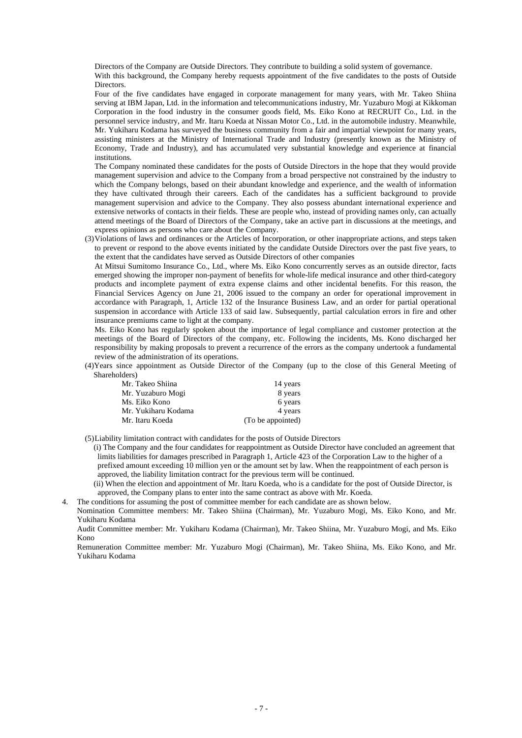Directors of the Company are Outside Directors. They contribute to building a solid system of governance.

With this background, the Company hereby requests appointment of the five candidates to the posts of Outside **Directors** 

Four of the five candidates have engaged in corporate management for many years, with Mr. Takeo Shiina serving at IBM Japan, Ltd. in the information and telecommunications industry, Mr. Yuzaburo Mogi at Kikkoman Corporation in the food industry in the consumer goods field, Ms. Eiko Kono at RECRUIT Co., Ltd. in the personnel service industry, and Mr. Itaru Koeda at Nissan Motor Co., Ltd. in the automobile industry. Meanwhile, Mr. Yukiharu Kodama has surveyed the business community from a fair and impartial viewpoint for many years, assisting ministers at the Ministry of International Trade and Industry (presently known as the Ministry of Economy, Trade and Industry), and has accumulated very substantial knowledge and experience at financial institutions.

The Company nominated these candidates for the posts of Outside Directors in the hope that they would provide management supervision and advice to the Company from a broad perspective not constrained by the industry to which the Company belongs, based on their abundant knowledge and experience, and the wealth of information they have cultivated through their careers. Each of the candidates has a sufficient background to provide management supervision and advice to the Company. They also possess abundant international experience and extensive networks of contacts in their fields. These are people who, instead of providing names only, can actually attend meetings of the Board of Directors of the Company, take an active part in discussions at the meetings, and express opinions as persons who care about the Company.

 (3) Violations of laws and ordinances or the Articles of Incorporation, or other inappropriate actions, and steps taken to prevent or respond to the above events initiated by the candidate Outside Directors over the past five years, to the extent that the candidates have served as Outside Directors of other companies

At Mitsui Sumitomo Insurance Co., Ltd., where Ms. Eiko Kono concurrently serves as an outside director, facts emerged showing the improper non-payment of benefits for whole-life medical insurance and other third-category products and incomplete payment of extra expense claims and other incidental benefits. For this reason, the Financial Services Agency on June 21, 2006 issued to the company an order for operational improvement in accordance with Paragraph, 1, Article 132 of the Insurance Business Law, and an order for partial operational suspension in accordance with Article 133 of said law. Subsequently, partial calculation errors in fire and other insurance premiums came to light at the company.

Ms. Eiko Kono has regularly spoken about the importance of legal compliance and customer protection at the meetings of the Board of Directors of the company, etc. Following the incidents, Ms. Kono discharged her responsibility by making proposals to prevent a recurrence of the errors as the company undertook a fundamental review of the administration of its operations.

 (4)Years since appointment as Outside Director of the Company (up to the close of this General Meeting of Shareholders)

| Mr. Takeo Shiina    | 14 years          |
|---------------------|-------------------|
| Mr. Yuzaburo Mogi   | 8 years           |
| Ms. Eiko Kono       | 6 years           |
| Mr. Yukiharu Kodama | 4 years           |
| Mr. Itaru Koeda     | (To be appointed) |

- (5) Liability limitation contract with candidates for the posts of Outside Directors
	- (i) The Company and the four candidates for reappointment as Outside Director have concluded an agreement that limits liabilities for damages prescribed in Paragraph 1, Article 423 of the Corporation Law to the higher of a prefixed amount exceeding 10 million yen or the amount set by law. When the reappointment of each person is approved, the liability limitation contract for the previous term will be continued.
	- (ii) When the election and appointment of Mr. Itaru Koeda, who is a candidate for the post of Outside Director, is approved, the Company plans to enter into the same contract as above with Mr. Koeda.
- 4. The conditions for assuming the post of committee member for each candidate are as shown below.
- Nomination Committee members: Mr. Takeo Shiina (Chairman), Mr. Yuzaburo Mogi, Ms. Eiko Kono, and Mr. Yukiharu Kodama

 Audit Committee member: Mr. Yukiharu Kodama (Chairman), Mr. Takeo Shiina, Mr. Yuzaburo Mogi, and Ms. Eiko Kono

 Remuneration Committee member: Mr. Yuzaburo Mogi (Chairman), Mr. Takeo Shiina, Ms. Eiko Kono, and Mr. Yukiharu Kodama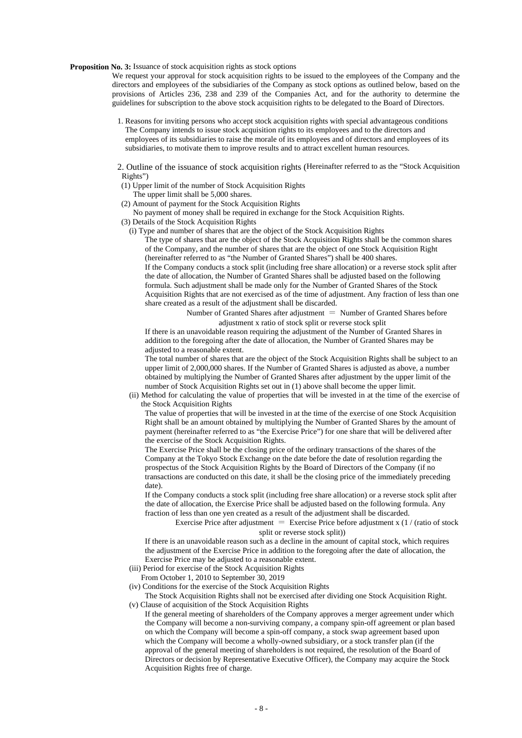### **Proposition No. 3:** Issuance of stock acquisition rights as stock options

We request your approval for stock acquisition rights to be issued to the employees of the Company and the directors and employees of the subsidiaries of the Company as stock options as outlined below, based on the provisions of Articles 236, 238 and 239 of the Companies Act, and for the authority to determine the guidelines for subscription to the above stock acquisition rights to be delegated to the Board of Directors.

- 1. Reasons for inviting persons who accept stock acquisition rights with special advantageous conditions The Company intends to issue stock acquisition rights to its employees and to the directors and employees of its subsidiaries to raise the morale of its employees and of directors and employees of its subsidiaries, to motivate them to improve results and to attract excellent human resources.
- 2. Outline of the issuance of stock acquisition rights (Hereinafter referred to as the "Stock Acquisition Rights")
- (1) Upper limit of the number of Stock Acquisition Rights
	- The upper limit shall be 5,000 shares.
- (2) Amount of payment for the Stock Acquisition Rights
- No payment of money shall be required in exchange for the Stock Acquisition Rights.
- (3) Details of the Stock Acquisition Rights
	- (i) Type and number of shares that are the object of the Stock Acquisition Rights

The type of shares that are the object of the Stock Acquisition Rights shall be the common shares of the Company, and the number of shares that are the object of one Stock Acquisition Right (hereinafter referred to as "the Number of Granted Shares") shall be 400 shares. If the Company conducts a stock split (including free share allocation) or a reverse stock split after the date of allocation, the Number of Granted Shares shall be adjusted based on the following formula. Such adjustment shall be made only for the Number of Granted Shares of the Stock Acquisition Rights that are not exercised as of the time of adjustment. Any fraction of less than one share created as a result of the adjustment shall be discarded.

> Number of Granted Shares after adjustment  $=$  Number of Granted Shares before adjustment x ratio of stock split or reverse stock split

If there is an unavoidable reason requiring the adjustment of the Number of Granted Shares in addition to the foregoing after the date of allocation, the Number of Granted Shares may be adjusted to a reasonable extent.

The total number of shares that are the object of the Stock Acquisition Rights shall be subject to an upper limit of 2,000,000 shares. If the Number of Granted Shares is adjusted as above, a number obtained by multiplying the Number of Granted Shares after adjustment by the upper limit of the number of Stock Acquisition Rights set out in (1) above shall become the upper limit.

 (ii) Method for calculating the value of properties that will be invested in at the time of the exercise of the Stock Acquisition Rights

The value of properties that will be invested in at the time of the exercise of one Stock Acquisition Right shall be an amount obtained by multiplying the Number of Granted Shares by the amount of payment (hereinafter referred to as "the Exercise Price") for one share that will be delivered after the exercise of the Stock Acquisition Rights.

The Exercise Price shall be the closing price of the ordinary transactions of the shares of the Company at the Tokyo Stock Exchange on the date before the date of resolution regarding the prospectus of the Stock Acquisition Rights by the Board of Directors of the Company (if no transactions are conducted on this date, it shall be the closing price of the immediately preceding date).

If the Company conducts a stock split (including free share allocation) or a reverse stock split after the date of allocation, the Exercise Price shall be adjusted based on the following formula. Any fraction of less than one yen created as a result of the adjustment shall be discarded.

Exercise Price after adjustment = Exercise Price before adjustment x  $(1 / (ratio of stock$ split or reverse stock split))

If there is an unavoidable reason such as a decline in the amount of capital stock, which requires the adjustment of the Exercise Price in addition to the foregoing after the date of allocation, the Exercise Price may be adjusted to a reasonable extent.

- (iii) Period for exercise of the Stock Acquisition Rights
- From October 1, 2010 to September 30, 2019
- (iv) Conditions for the exercise of the Stock Acquisition Rights
- The Stock Acquisition Rights shall not be exercised after dividing one Stock Acquisition Right. (v) Clause of acquisition of the Stock Acquisition Rights
	- If the general meeting of shareholders of the Company approves a merger agreement under which the Company will become a non-surviving company, a company spin-off agreement or plan based on which the Company will become a spin-off company, a stock swap agreement based upon which the Company will become a wholly-owned subsidiary, or a stock transfer plan (if the approval of the general meeting of shareholders is not required, the resolution of the Board of Directors or decision by Representative Executive Officer), the Company may acquire the Stock Acquisition Rights free of charge.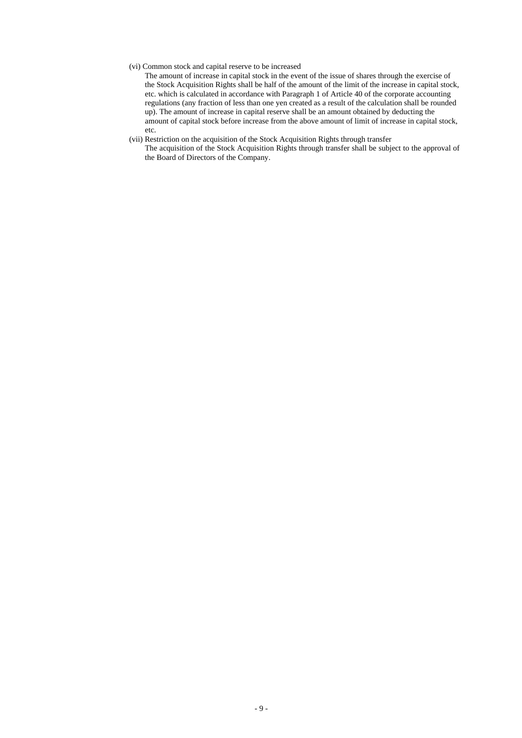### (vi) Common stock and capital reserve to be increased

The amount of increase in capital stock in the event of the issue of shares through the exercise of the Stock Acquisition Rights shall be half of the amount of the limit of the increase in capital stock, etc. which is calculated in accordance with Paragraph 1 of Article 40 of the corporate accounting regulations (any fraction of less than one yen created as a result of the calculation shall be rounded up). The amount of increase in capital reserve shall be an amount obtained by deducting the amount of capital stock before increase from the above amount of limit of increase in capital stock, etc.

### (vii) Restriction on the acquisition of the Stock Acquisition Rights through transfer

The acquisition of the Stock Acquisition Rights through transfer shall be subject to the approval of the Board of Directors of the Company.